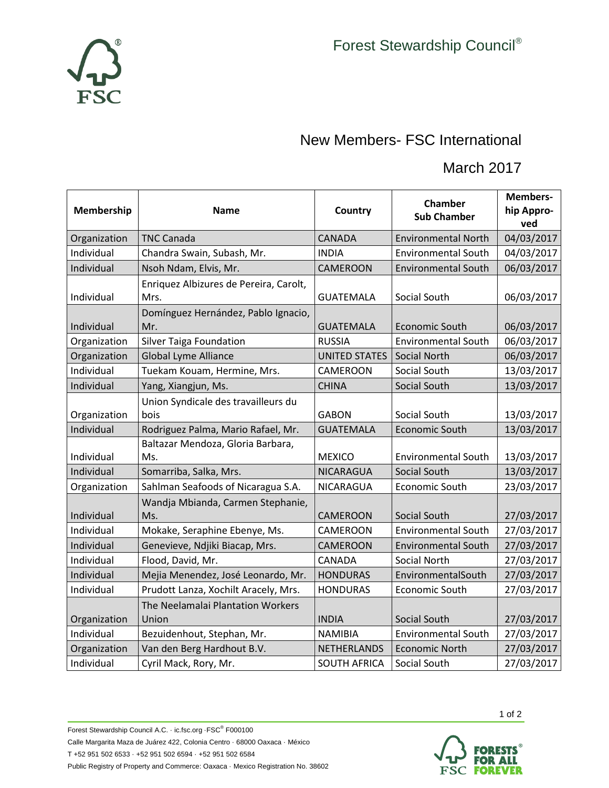

## New Members- FSC International

## March 2017

| Membership   | <b>Name</b>                                    | <b>Country</b>       | Chamber<br><b>Sub Chamber</b> | Members-<br>hip Appro-<br>ved |
|--------------|------------------------------------------------|----------------------|-------------------------------|-------------------------------|
| Organization | <b>TNC Canada</b>                              | <b>CANADA</b>        | <b>Environmental North</b>    | 04/03/2017                    |
| Individual   | Chandra Swain, Subash, Mr.                     | <b>INDIA</b>         | <b>Environmental South</b>    | 04/03/2017                    |
| Individual   | Nsoh Ndam, Elvis, Mr.                          | <b>CAMEROON</b>      | <b>Environmental South</b>    | 06/03/2017                    |
| Individual   | Enriquez Albizures de Pereira, Carolt,<br>Mrs. | <b>GUATEMALA</b>     | Social South                  | 06/03/2017                    |
| Individual   | Domínguez Hernández, Pablo Ignacio,<br>Mr.     | <b>GUATEMALA</b>     | <b>Economic South</b>         | 06/03/2017                    |
| Organization | <b>Silver Taiga Foundation</b>                 | <b>RUSSIA</b>        | <b>Environmental South</b>    | 06/03/2017                    |
| Organization | <b>Global Lyme Alliance</b>                    | <b>UNITED STATES</b> | Social North                  | 06/03/2017                    |
| Individual   | Tuekam Kouam, Hermine, Mrs.                    | CAMEROON             | Social South                  | 13/03/2017                    |
| Individual   | Yang, Xiangjun, Ms.                            | <b>CHINA</b>         | Social South                  | 13/03/2017                    |
| Organization | Union Syndicale des travailleurs du<br>bois    | <b>GABON</b>         | Social South                  | 13/03/2017                    |
| Individual   | Rodriguez Palma, Mario Rafael, Mr.             | <b>GUATEMALA</b>     | Economic South                | 13/03/2017                    |
| Individual   | Baltazar Mendoza, Gloria Barbara,<br>Ms.       | <b>MEXICO</b>        | <b>Environmental South</b>    | 13/03/2017                    |
| Individual   | Somarriba, Salka, Mrs.                         | NICARAGUA            | Social South                  | 13/03/2017                    |
| Organization | Sahlman Seafoods of Nicaragua S.A.             | NICARAGUA            | Economic South                | 23/03/2017                    |
| Individual   | Wandja Mbianda, Carmen Stephanie,<br>Ms.       | <b>CAMEROON</b>      | Social South                  | 27/03/2017                    |
| Individual   | Mokake, Seraphine Ebenye, Ms.                  | CAMEROON             | <b>Environmental South</b>    | 27/03/2017                    |
| Individual   | Genevieve, Ndjiki Biacap, Mrs.                 | <b>CAMEROON</b>      | <b>Environmental South</b>    | 27/03/2017                    |
| Individual   | Flood, David, Mr.                              | CANADA               | Social North                  | 27/03/2017                    |
| Individual   | Mejia Menendez, José Leonardo, Mr.             | <b>HONDURAS</b>      | EnvironmentalSouth            | 27/03/2017                    |
| Individual   | Prudott Lanza, Xochilt Aracely, Mrs.           | <b>HONDURAS</b>      | Economic South                | 27/03/2017                    |
| Organization | The Neelamalai Plantation Workers<br>Union     | <b>INDIA</b>         | Social South                  | 27/03/2017                    |
| Individual   | Bezuidenhout, Stephan, Mr.                     | <b>NAMIBIA</b>       | <b>Environmental South</b>    | 27/03/2017                    |
| Organization | Van den Berg Hardhout B.V.                     | <b>NETHERLANDS</b>   | <b>Economic North</b>         | 27/03/2017                    |
| Individual   | Cyril Mack, Rory, Mr.                          | <b>SOUTH AFRICA</b>  | Social South                  | 27/03/2017                    |



1 of 2